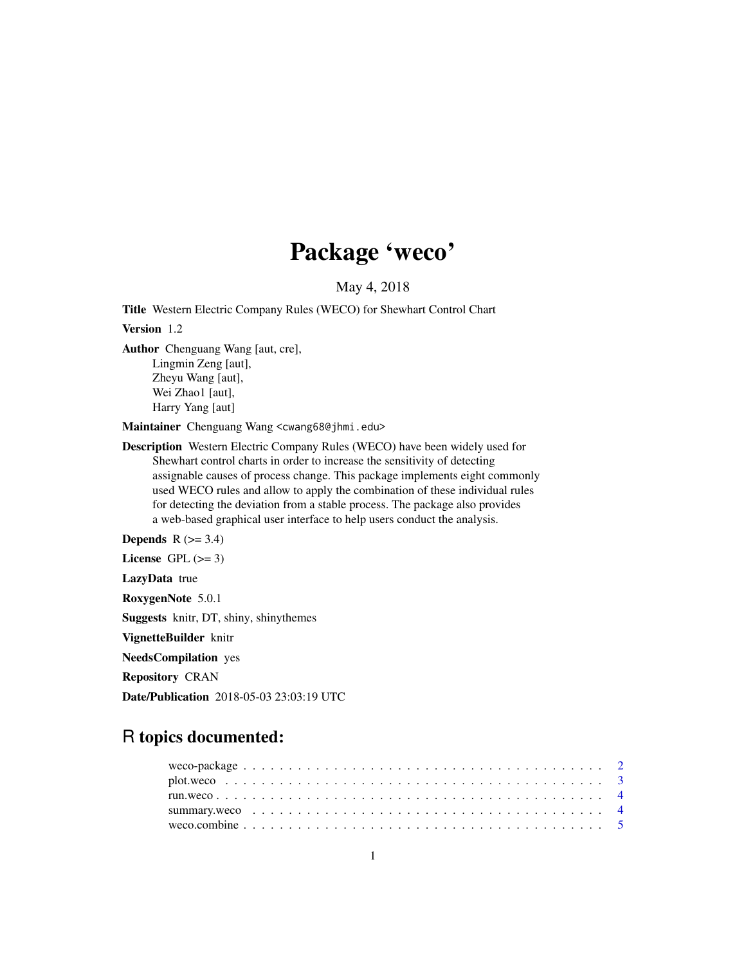# Package 'weco'

# May 4, 2018

Title Western Electric Company Rules (WECO) for Shewhart Control Chart

Version 1.2

Author Chenguang Wang [aut, cre], Lingmin Zeng [aut], Zheyu Wang [aut], Wei Zhao1 [aut], Harry Yang [aut]

Maintainer Chenguang Wang <cwang68@jhmi.edu>

Description Western Electric Company Rules (WECO) have been widely used for Shewhart control charts in order to increase the sensitivity of detecting assignable causes of process change. This package implements eight commonly used WECO rules and allow to apply the combination of these individual rules for detecting the deviation from a stable process. The package also provides a web-based graphical user interface to help users conduct the analysis.

Depends  $R$  ( $>= 3.4$ )

License GPL  $(>= 3)$ 

LazyData true

RoxygenNote 5.0.1

Suggests knitr, DT, shiny, shinythemes

VignetteBuilder knitr

NeedsCompilation yes

Repository CRAN

Date/Publication 2018-05-03 23:03:19 UTC

# R topics documented: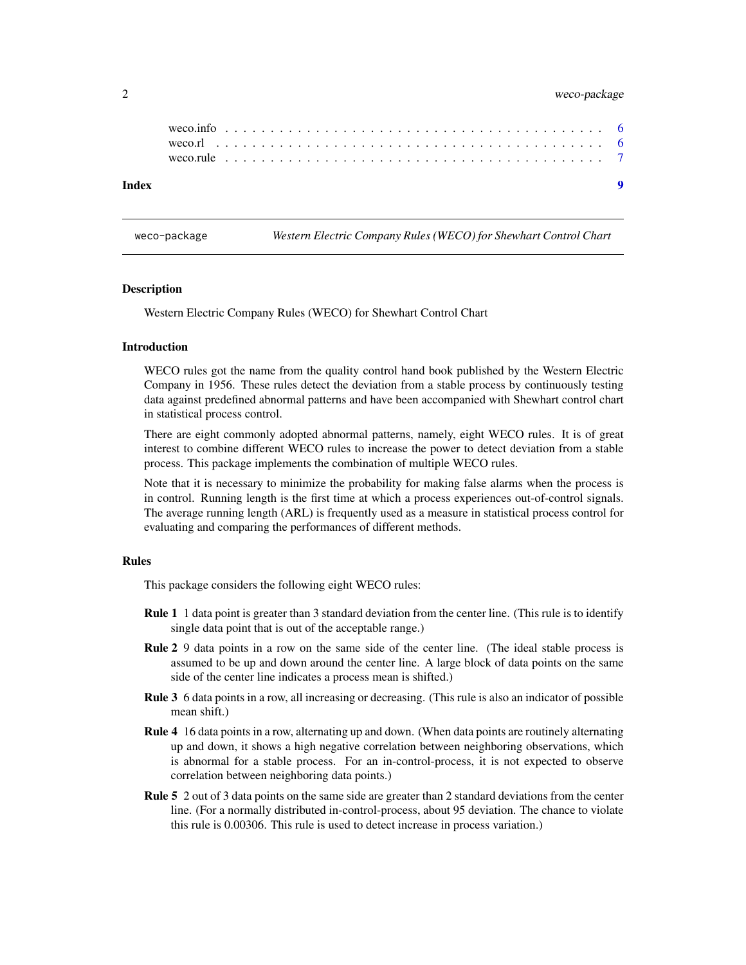#### <span id="page-1-0"></span>2 weco-package

#### **Index** [9](#page-8-0)

<span id="page-1-1"></span>weco-package *Western Electric Company Rules (WECO) for Shewhart Control Chart*

#### **Description**

Western Electric Company Rules (WECO) for Shewhart Control Chart

#### Introduction

WECO rules got the name from the quality control hand book published by the Western Electric Company in 1956. These rules detect the deviation from a stable process by continuously testing data against predefined abnormal patterns and have been accompanied with Shewhart control chart in statistical process control.

There are eight commonly adopted abnormal patterns, namely, eight WECO rules. It is of great interest to combine different WECO rules to increase the power to detect deviation from a stable process. This package implements the combination of multiple WECO rules.

Note that it is necessary to minimize the probability for making false alarms when the process is in control. Running length is the first time at which a process experiences out-of-control signals. The average running length (ARL) is frequently used as a measure in statistical process control for evaluating and comparing the performances of different methods.

#### Rules

This package considers the following eight WECO rules:

- **Rule 1** 1 data point is greater than 3 standard deviation from the center line. (This rule is to identify single data point that is out of the acceptable range.)
- Rule 2 9 data points in a row on the same side of the center line. (The ideal stable process is assumed to be up and down around the center line. A large block of data points on the same side of the center line indicates a process mean is shifted.)
- Rule 3 6 data points in a row, all increasing or decreasing. (This rule is also an indicator of possible mean shift.)
- Rule 4 16 data points in a row, alternating up and down. (When data points are routinely alternating up and down, it shows a high negative correlation between neighboring observations, which is abnormal for a stable process. For an in-control-process, it is not expected to observe correlation between neighboring data points.)
- Rule 5 2 out of 3 data points on the same side are greater than 2 standard deviations from the center line. (For a normally distributed in-control-process, about 95 deviation. The chance to violate this rule is 0.00306. This rule is used to detect increase in process variation.)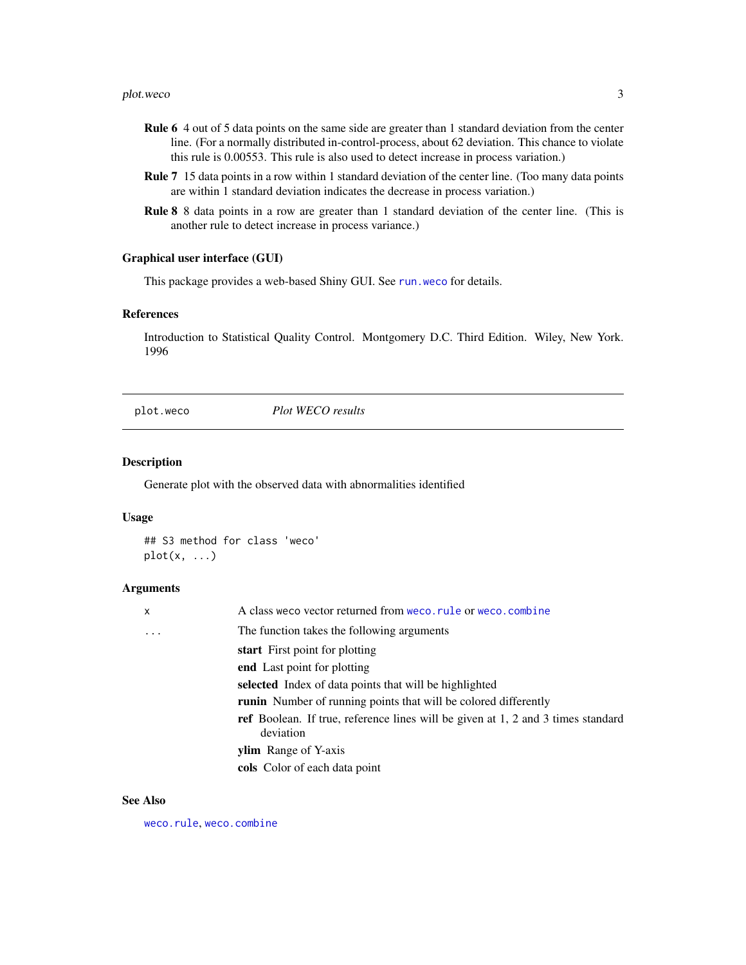#### <span id="page-2-0"></span>plot.weco 3

- Rule 6 4 out of 5 data points on the same side are greater than 1 standard deviation from the center line. (For a normally distributed in-control-process, about 62 deviation. This chance to violate this rule is 0.00553. This rule is also used to detect increase in process variation.)
- Rule 7 15 data points in a row within 1 standard deviation of the center line. (Too many data points are within 1 standard deviation indicates the decrease in process variation.)
- Rule 8 8 data points in a row are greater than 1 standard deviation of the center line. (This is another rule to detect increase in process variance.)

#### Graphical user interface (GUI)

This package provides a web-based Shiny GUI. See run. weco for details.

#### References

Introduction to Statistical Quality Control. Montgomery D.C. Third Edition. Wiley, New York. 1996

plot.weco *Plot WECO results*

#### Description

Generate plot with the observed data with abnormalities identified

#### Usage

## S3 method for class 'weco'  $plot(x, \ldots)$ 

#### Arguments

| X       | A class we covector returned from we co. rule or we co. combine                                      |
|---------|------------------------------------------------------------------------------------------------------|
| $\cdot$ | The function takes the following arguments                                                           |
|         | start First point for plotting                                                                       |
|         | end Last point for plotting                                                                          |
|         | selected Index of data points that will be highlighted                                               |
|         | runin Number of running points that will be colored differently                                      |
|         | <b>ref</b> Boolean. If true, reference lines will be given at 1, 2 and 3 times standard<br>deviation |
|         | <b>ylim</b> Range of Y-axis                                                                          |
|         | cols Color of each data point                                                                        |

#### See Also

[weco.rule](#page-6-1), [weco.combine](#page-4-1)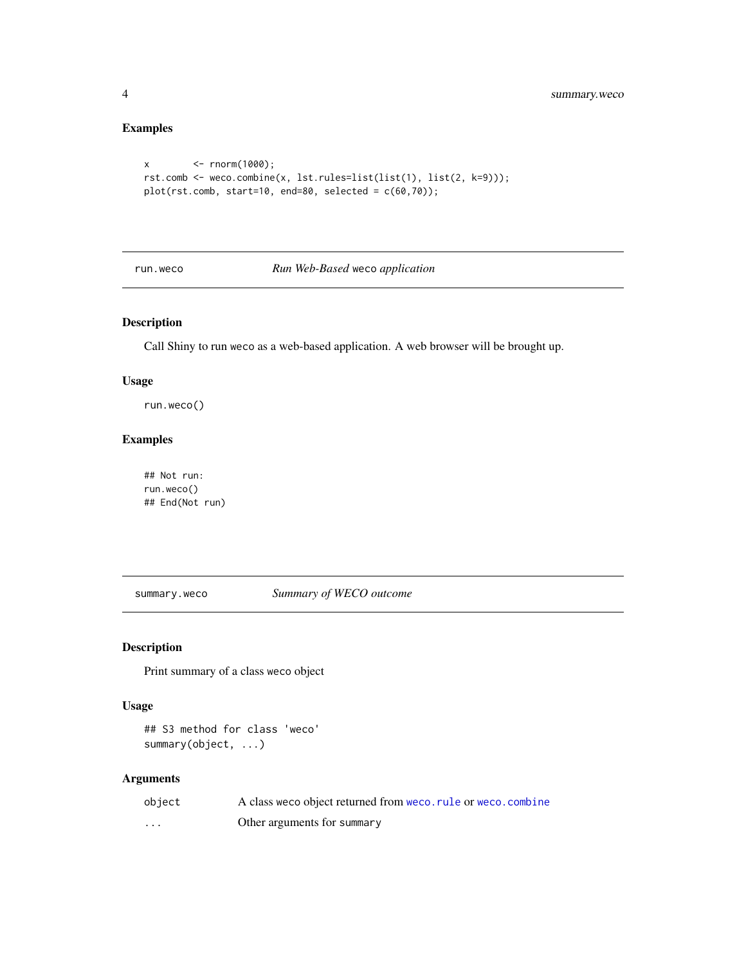# Examples

```
x <- rnorm(1000);
rst.comb <- weco.combine(x, lst.rules=list(list(1), list(2, k=9)));
plot(rst.comb, start=10, end=80, selected = c(60,70));
```
#### <span id="page-3-1"></span>run.weco *Run Web-Based* weco *application*

# Description

Call Shiny to run weco as a web-based application. A web browser will be brought up.

#### Usage

run.weco()

# Examples

## Not run: run.weco() ## End(Not run)

summary.weco *Summary of WECO outcome*

#### Description

Print summary of a class weco object

#### Usage

## S3 method for class 'weco' summary(object, ...)

#### Arguments

| object | A class we co object returned from we co. rule or we co. combine |
|--------|------------------------------------------------------------------|
| .      | Other arguments for summary                                      |

<span id="page-3-0"></span>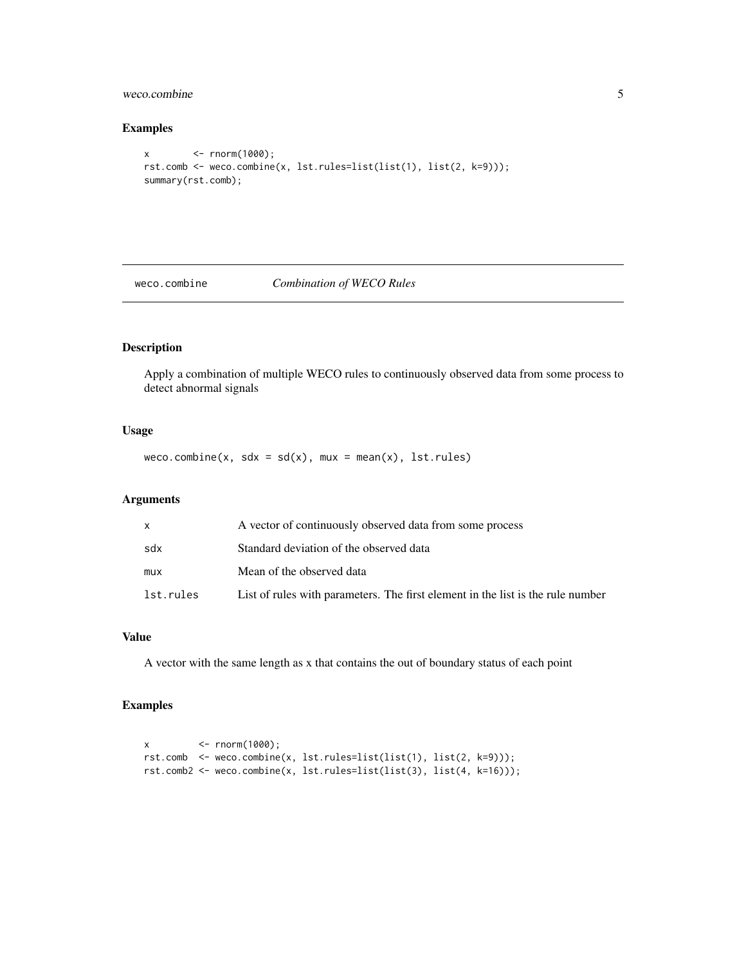#### <span id="page-4-0"></span>weco.combine 5

#### Examples

```
x <- rnorm(1000);
rst.comb <- weco.combine(x, lst.rules=list(list(1), list(2, k=9)));
summary(rst.comb);
```
#### <span id="page-4-1"></span>weco.combine *Combination of WECO Rules*

#### Description

Apply a combination of multiple WECO rules to continuously observed data from some process to detect abnormal signals

#### Usage

weco.combine(x, sdx =  $sd(x)$ , mux = mean(x), lst.rules)

#### Arguments

| X         | A vector of continuously observed data from some process                        |
|-----------|---------------------------------------------------------------------------------|
| sdx       | Standard deviation of the observed data                                         |
| mux       | Mean of the observed data                                                       |
| lst.rules | List of rules with parameters. The first element in the list is the rule number |

#### Value

A vector with the same length as x that contains the out of boundary status of each point

### Examples

```
x <- rnorm(1000);
rst.comb <- weco.combine(x, lst.rules=list(list(1), list(2, k=9)));
rst.comb2 <- weco.combine(x, lst.rules=list(list(3), list(4, k=16)));
```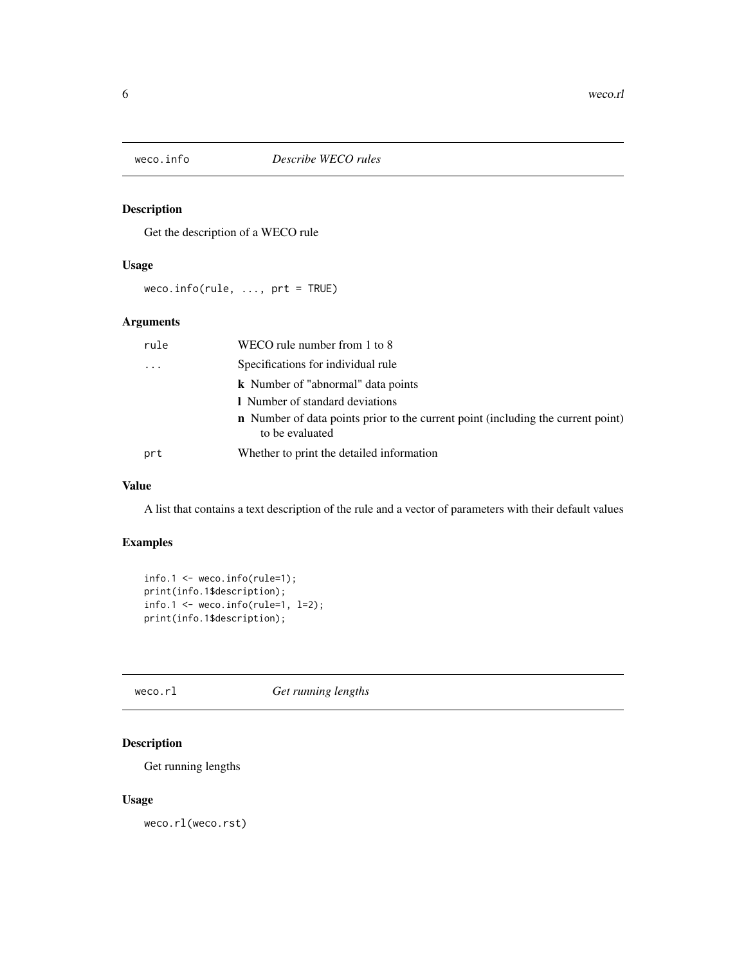<span id="page-5-0"></span>

#### Description

Get the description of a WECO rule

### Usage

weco.info(rule, ..., prt = TRUE)

# Arguments

| rule     | WECO rule number from 1 to 8                                                                               |
|----------|------------------------------------------------------------------------------------------------------------|
| $\cdots$ | Specifications for individual rule                                                                         |
|          | <b>k</b> Number of "abnormal" data points                                                                  |
|          | I Number of standard deviations                                                                            |
|          | <b>n</b> Number of data points prior to the current point (including the current point)<br>to be evaluated |
| prt      | Whether to print the detailed information                                                                  |

#### Value

A list that contains a text description of the rule and a vector of parameters with their default values

# Examples

```
info.1 \leq new co.info(rule=1);print(info.1$description);
info.1 \leftarrow weco.info(rule=1, l=2);print(info.1$description);
```
#### weco.rl *Get running lengths*

# Description

Get running lengths

#### Usage

weco.rl(weco.rst)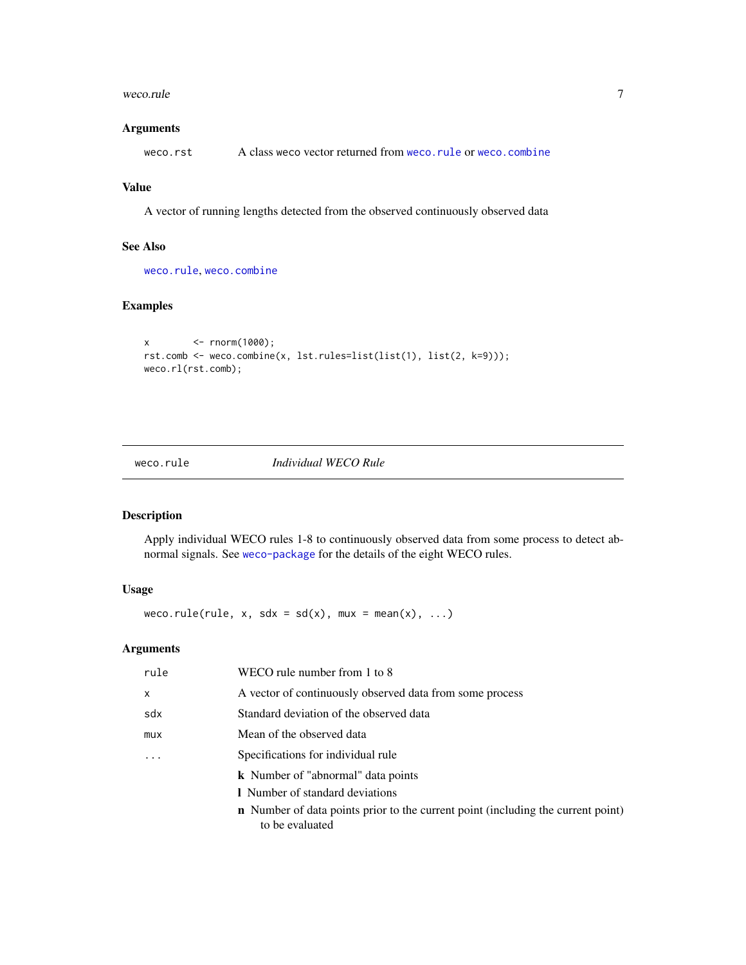#### <span id="page-6-0"></span>weco.rule 7

#### Arguments

weco.rst A class weco vector returned from [weco.rule](#page-6-1) or [weco.combine](#page-4-1)

# Value

A vector of running lengths detected from the observed continuously observed data

#### See Also

[weco.rule](#page-6-1), [weco.combine](#page-4-1)

#### Examples

```
x <- rnorm(1000);
rst.comb <- weco.combine(x, lst.rules=list(list(1), list(2, k=9)));
weco.rl(rst.comb);
```
# <span id="page-6-1"></span>weco.rule *Individual WECO Rule*

#### Description

Apply individual WECO rules 1-8 to continuously observed data from some process to detect abnormal signals. See [weco-package](#page-1-1) for the details of the eight WECO rules.

# Usage

weco.rule(rule, x, sdx = sd(x), mux = mean(x), ...)

#### Arguments

| rule         | WECO rule number from 1 to 8                                                                               |
|--------------|------------------------------------------------------------------------------------------------------------|
| $\mathsf{x}$ | A vector of continuously observed data from some process                                                   |
| sdx          | Standard deviation of the observed data                                                                    |
| mux          | Mean of the observed data                                                                                  |
| .            | Specifications for individual rule                                                                         |
|              | <b>k</b> Number of "abnormal" data points                                                                  |
|              | I Number of standard deviations                                                                            |
|              | <b>n</b> Number of data points prior to the current point (including the current point)<br>to be evaluated |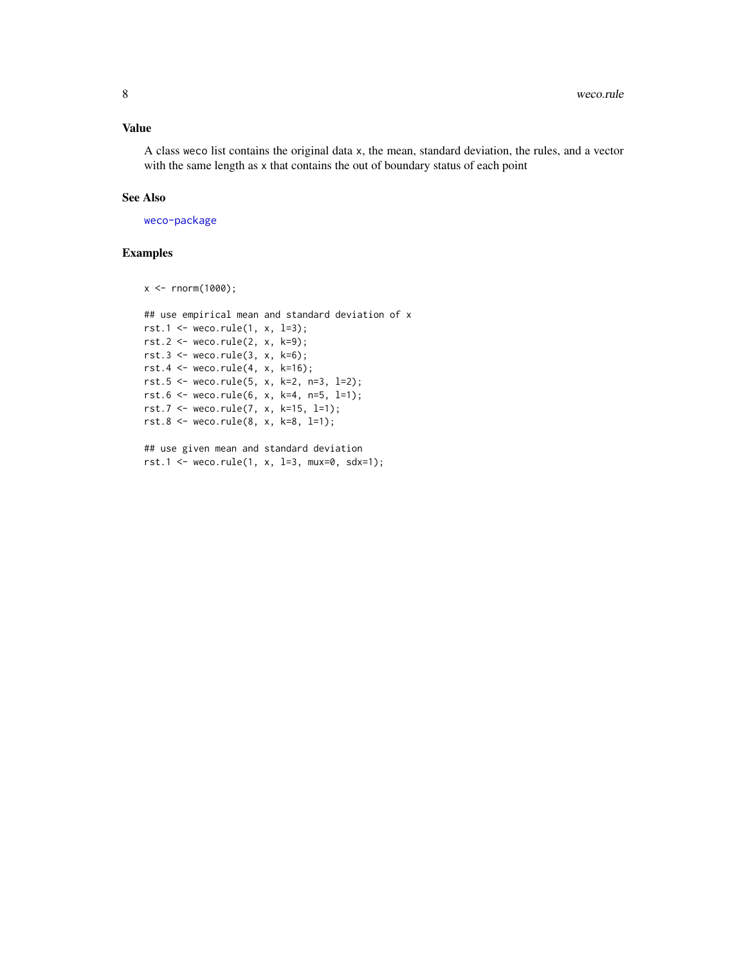#### Value

A class weco list contains the original data x, the mean, standard deviation, the rules, and a vector with the same length as x that contains the out of boundary status of each point

### See Also

[weco-package](#page-1-1)

#### Examples

x <- rnorm(1000);

```
## use empirical mean and standard deviation of x
rst.1 <- weco.rule(1, x, l=3);
rst.2 <- weco.rule(2, x, k=9);
rst.3 <- weco.rule(3, x, k=6);
rst.4 <- weco.rule(4, x, k=16);
rst.5 <- weco.rule(5, x, k=2, n=3, l=2);
rst.6 <- weco.rule(6, x, k=4, n=5, l=1);
rst.7 <- weco.rule(7, x, k=15, l=1);
rst.8 <- weco.rule(8, x, k=8, l=1);
```

```
## use given mean and standard deviation
rst.1 <- weco.rule(1, x, l=3, mux=0, sdx=1);
```